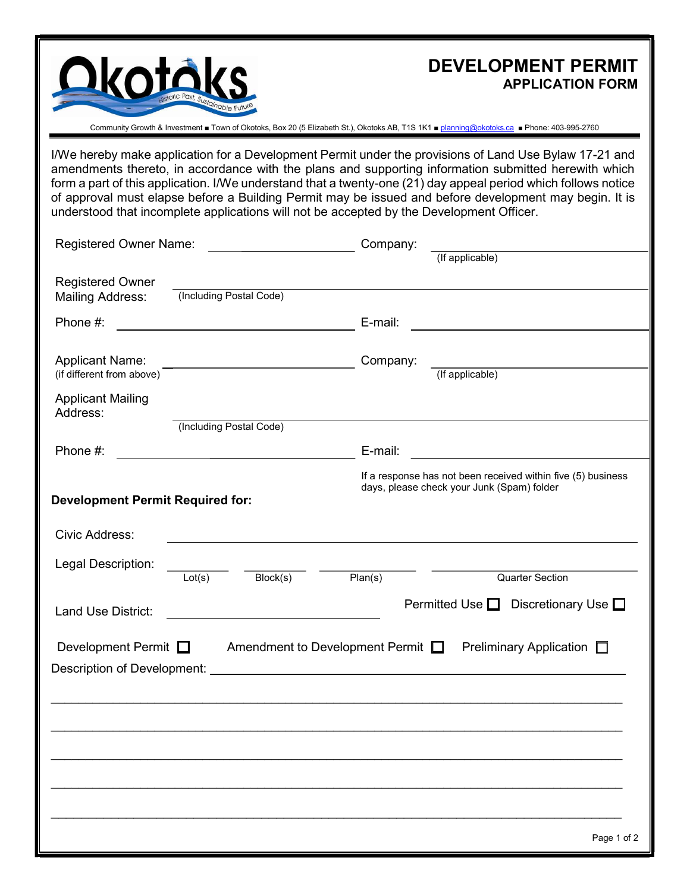

# DEVELOPMENT PERMIT APPLICATION FORM

Community Growth & Investment ■ Town of Okotoks, Box 20 (5 Elizabeth St.), Okotoks AB, T1S 1K1 ■ planning@okotoks.ca ■ Phone: 403-995-2760

I/We hereby make application for a Development Permit under the provisions of Land Use Bylaw 17-21 and amendments thereto, in accordance with the plans and supporting information submitted herewith which form a part of this application. I/We understand that a twenty-one (21) day appeal period which follows notice of approval must elapse before a Building Permit may be issued and before development may begin. It is understood that incomplete applications will not be accepted by the Development Officer.

| <b>Registered Owner Name:</b>                       |                         | Company:                                                                                                             |                                           |                                                              |
|-----------------------------------------------------|-------------------------|----------------------------------------------------------------------------------------------------------------------|-------------------------------------------|--------------------------------------------------------------|
|                                                     |                         |                                                                                                                      |                                           | (If applicable)                                              |
| <b>Registered Owner</b>                             |                         |                                                                                                                      |                                           |                                                              |
| <b>Mailing Address:</b>                             | (Including Postal Code) |                                                                                                                      |                                           |                                                              |
| Phone #:                                            |                         |                                                                                                                      | E-mail:                                   |                                                              |
|                                                     |                         |                                                                                                                      |                                           |                                                              |
| <b>Applicant Name:</b><br>(if different from above) |                         | <u> 1980 - Johann Barbara, martxa alemaniar a</u>                                                                    | Company:                                  | (If applicable)                                              |
|                                                     |                         |                                                                                                                      |                                           |                                                              |
| <b>Applicant Mailing</b><br>Address:                |                         |                                                                                                                      |                                           |                                                              |
|                                                     | (Including Postal Code) |                                                                                                                      |                                           |                                                              |
| Phone #:                                            |                         | <u> 1980 - Johann Barn, mars ann an t-Amhain Aonaich an t-Aonaich an t-Aonaich ann an t-Aonaich ann an t-Aonaich</u> | E-mail:                                   |                                                              |
|                                                     |                         |                                                                                                                      |                                           | If a response has not been received within five (5) business |
| <b>Development Permit Required for:</b>             |                         |                                                                                                                      |                                           | days, please check your Junk (Spam) folder                   |
|                                                     |                         |                                                                                                                      |                                           |                                                              |
| Civic Address:                                      |                         |                                                                                                                      |                                           |                                                              |
| Legal Description:                                  |                         |                                                                                                                      |                                           |                                                              |
|                                                     | Lot(s)                  | Block(s)                                                                                                             | Plan(s)                                   | <b>Quarter Section</b>                                       |
| Land Use District:                                  |                         |                                                                                                                      |                                           | Permitted Use $\Box$<br>Discretionary Use $\square$          |
|                                                     |                         |                                                                                                                      |                                           |                                                              |
| Development Permit $\Box$                           |                         |                                                                                                                      | Amendment to Development Permit $\square$ | Preliminary Application $\square$                            |
|                                                     |                         |                                                                                                                      |                                           |                                                              |
|                                                     |                         |                                                                                                                      |                                           |                                                              |
|                                                     |                         |                                                                                                                      |                                           |                                                              |
|                                                     |                         |                                                                                                                      |                                           |                                                              |
|                                                     |                         |                                                                                                                      |                                           |                                                              |
|                                                     |                         |                                                                                                                      |                                           |                                                              |
|                                                     |                         |                                                                                                                      |                                           |                                                              |
|                                                     |                         |                                                                                                                      |                                           |                                                              |
|                                                     |                         |                                                                                                                      |                                           | Page 1 of 2                                                  |
|                                                     |                         |                                                                                                                      |                                           |                                                              |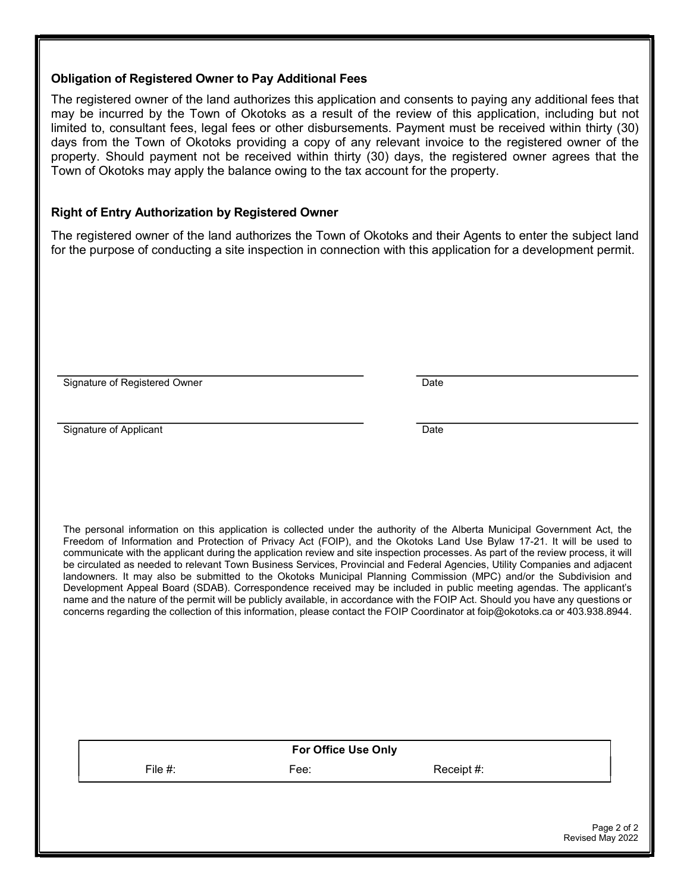#### Obligation of Registered Owner to Pay Additional Fees

The registered owner of the land authorizes this application and consents to paying any additional fees that may be incurred by the Town of Okotoks as a result of the review of this application, including but not limited to, consultant fees, legal fees or other disbursements. Payment must be received within thirty (30) days from the Town of Okotoks providing a copy of any relevant invoice to the registered owner of the property. Should payment not be received within thirty (30) days, the registered owner agrees that the Town of Okotoks may apply the balance owing to the tax account for the property.

### Right of Entry Authorization by Registered Owner

The registered owner of the land authorizes the Town of Okotoks and their Agents to enter the subject land for the purpose of conducting a site inspection in connection with this application for a development permit.

Signature of Registered Owner **Date** Date Date

Signature of Applicant Date

The personal information on this application is collected under the authority of the Alberta Municipal Government Act, the Freedom of Information and Protection of Privacy Act (FOIP), and the Okotoks Land Use Bylaw 17-21. It will be used to communicate with the applicant during the application review and site inspection processes. As part of the review process, it will be circulated as needed to relevant Town Business Services, Provincial and Federal Agencies, Utility Companies and adjacent landowners. It may also be submitted to the Okotoks Municipal Planning Commission (MPC) and/or the Subdivision and Development Appeal Board (SDAB). Correspondence received may be included in public meeting agendas. The applicant's name and the nature of the permit will be publicly available, in accordance with the FOIP Act. Should you have any questions or concerns regarding the collection of this information, please contact the FOIP Coordinator at foip@okotoks.ca or 403.938.8944.

|            | <b>For Office Use Only</b> |            |  |
|------------|----------------------------|------------|--|
| File $#$ : | Fee:                       | Receipt #: |  |
|            |                            |            |  |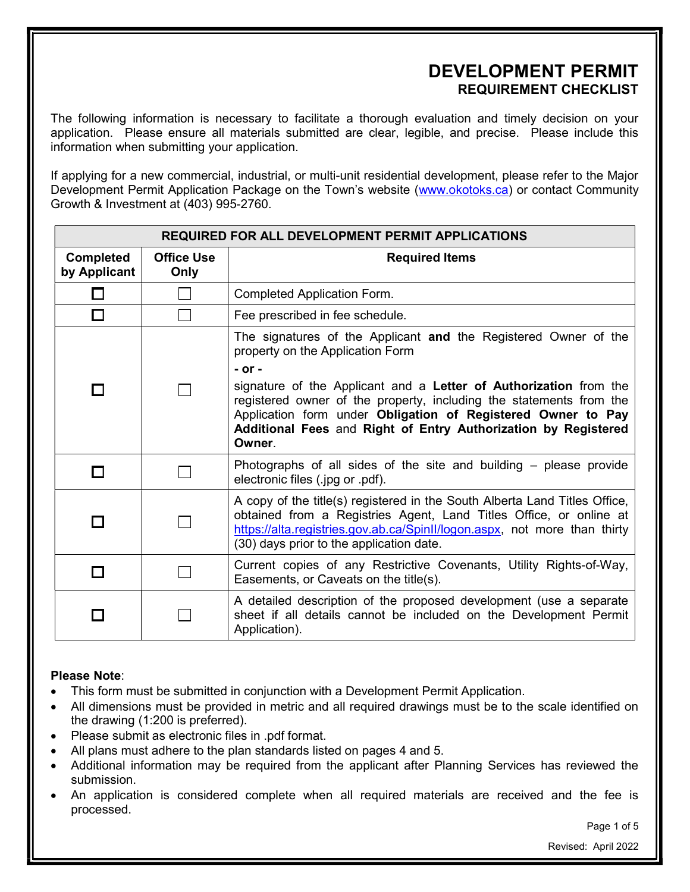## DEVELOPMENT PERMIT REQUIREMENT CHECKLIST

The following information is necessary to facilitate a thorough evaluation and timely decision on your application. Please ensure all materials submitted are clear, legible, and precise. Please include this information when submitting your application.

If applying for a new commercial, industrial, or multi-unit residential development, please refer to the Major Development Permit Application Package on the Town's website (www.okotoks.ca) or contact Community Growth & Investment at (403) 995-2760.

| <b>REQUIRED FOR ALL DEVELOPMENT PERMIT APPLICATIONS</b> |                           |                                                                                                                                                                                                                                                                                                                                                                                                           |
|---------------------------------------------------------|---------------------------|-----------------------------------------------------------------------------------------------------------------------------------------------------------------------------------------------------------------------------------------------------------------------------------------------------------------------------------------------------------------------------------------------------------|
| <b>Completed</b><br>by Applicant                        | <b>Office Use</b><br>Only | <b>Required Items</b>                                                                                                                                                                                                                                                                                                                                                                                     |
|                                                         |                           | Completed Application Form.                                                                                                                                                                                                                                                                                                                                                                               |
| П                                                       |                           | Fee prescribed in fee schedule.                                                                                                                                                                                                                                                                                                                                                                           |
|                                                         |                           | The signatures of the Applicant and the Registered Owner of the<br>property on the Application Form<br>$-$ or $-$<br>signature of the Applicant and a Letter of Authorization from the<br>registered owner of the property, including the statements from the<br>Application form under Obligation of Registered Owner to Pay<br>Additional Fees and Right of Entry Authorization by Registered<br>Owner. |
|                                                         |                           | Photographs of all sides of the site and building - please provide<br>electronic files (.jpg or .pdf).                                                                                                                                                                                                                                                                                                    |
|                                                         |                           | A copy of the title(s) registered in the South Alberta Land Titles Office,<br>obtained from a Registries Agent, Land Titles Office, or online at<br>https://alta.registries.gov.ab.ca/SpinII/logon.aspx, not more than thirty<br>(30) days prior to the application date.                                                                                                                                 |
|                                                         |                           | Current copies of any Restrictive Covenants, Utility Rights-of-Way,<br>Easements, or Caveats on the title(s).                                                                                                                                                                                                                                                                                             |
|                                                         |                           | A detailed description of the proposed development (use a separate<br>sheet if all details cannot be included on the Development Permit<br>Application).                                                                                                                                                                                                                                                  |

#### Please Note:

- This form must be submitted in conjunction with a Development Permit Application.
- All dimensions must be provided in metric and all required drawings must be to the scale identified on the drawing (1:200 is preferred).
- Please submit as electronic files in .pdf format.
- All plans must adhere to the plan standards listed on pages 4 and 5.
- Additional information may be required from the applicant after Planning Services has reviewed the submission.
- An application is considered complete when all required materials are received and the fee is processed.

Page 1 of 5

Revised: April 2022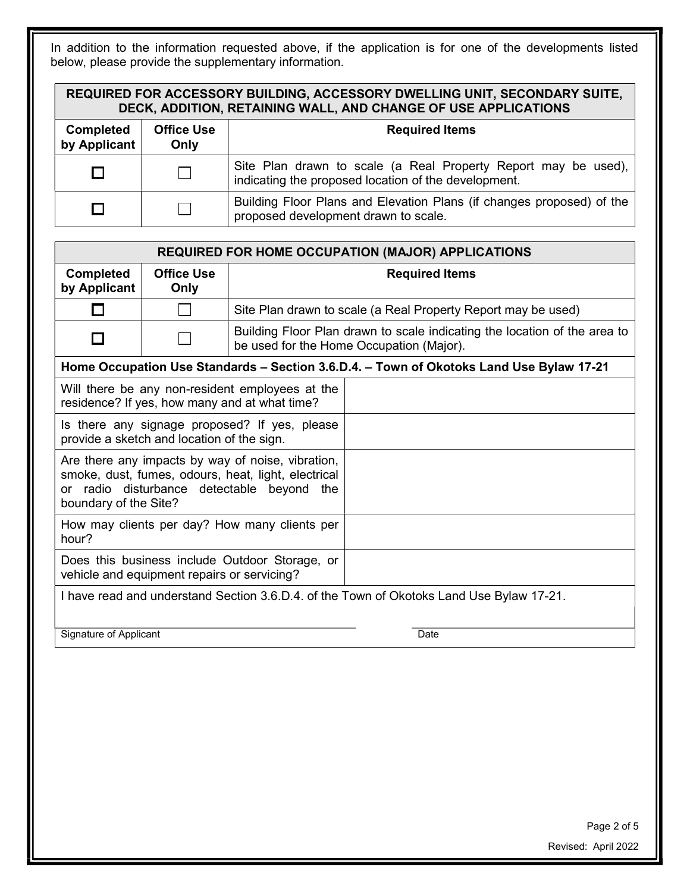In addition to the information requested above, if the application is for one of the developments listed below, please provide the supplementary information.

| REQUIRED FOR ACCESSORY BUILDING, ACCESSORY DWELLING UNIT, SECONDARY SUITE,<br>DECK, ADDITION, RETAINING WALL, AND CHANGE OF USE APPLICATIONS |                           |                       |  |
|----------------------------------------------------------------------------------------------------------------------------------------------|---------------------------|-----------------------|--|
| <b>Completed</b><br>by Applicant                                                                                                             | <b>Office Use</b><br>Only | <b>Required Items</b> |  |

|  | Site Plan drawn to scale (a Real Property Report may be used),  <br>indicating the proposed location of the development. |
|--|--------------------------------------------------------------------------------------------------------------------------|
|  | Building Floor Plans and Elevation Plans (if changes proposed) of the<br>proposed development drawn to scale.            |

| <b>REQUIRED FOR HOME OCCUPATION (MAJOR) APPLICATIONS</b>                                                                                                                        |                           |                                                               |                                                                                                                       |
|---------------------------------------------------------------------------------------------------------------------------------------------------------------------------------|---------------------------|---------------------------------------------------------------|-----------------------------------------------------------------------------------------------------------------------|
| <b>Completed</b><br>by Applicant                                                                                                                                                | <b>Office Use</b><br>Only | <b>Required Items</b>                                         |                                                                                                                       |
| l 1                                                                                                                                                                             |                           | Site Plan drawn to scale (a Real Property Report may be used) |                                                                                                                       |
|                                                                                                                                                                                 |                           |                                                               | Building Floor Plan drawn to scale indicating the location of the area to<br>be used for the Home Occupation (Major). |
|                                                                                                                                                                                 |                           |                                                               | Home Occupation Use Standards - Section 3.6.D.4. - Town of Okotoks Land Use Bylaw 17-21                               |
| Will there be any non-resident employees at the<br>residence? If yes, how many and at what time?                                                                                |                           |                                                               |                                                                                                                       |
| Is there any signage proposed? If yes, please<br>provide a sketch and location of the sign.                                                                                     |                           |                                                               |                                                                                                                       |
| Are there any impacts by way of noise, vibration,<br>smoke, dust, fumes, odours, heat, light, electrical<br>or radio disturbance detectable beyond the<br>boundary of the Site? |                           |                                                               |                                                                                                                       |
| How may clients per day? How many clients per<br>hour?                                                                                                                          |                           |                                                               |                                                                                                                       |
| Does this business include Outdoor Storage, or<br>vehicle and equipment repairs or servicing?                                                                                   |                           |                                                               |                                                                                                                       |
| I have read and understand Section 3.6.D.4. of the Town of Okotoks Land Use Bylaw 17-21.                                                                                        |                           |                                                               |                                                                                                                       |

Signature of Applicant Date Date Date Date

Page 2 of 5 Revised: April 2022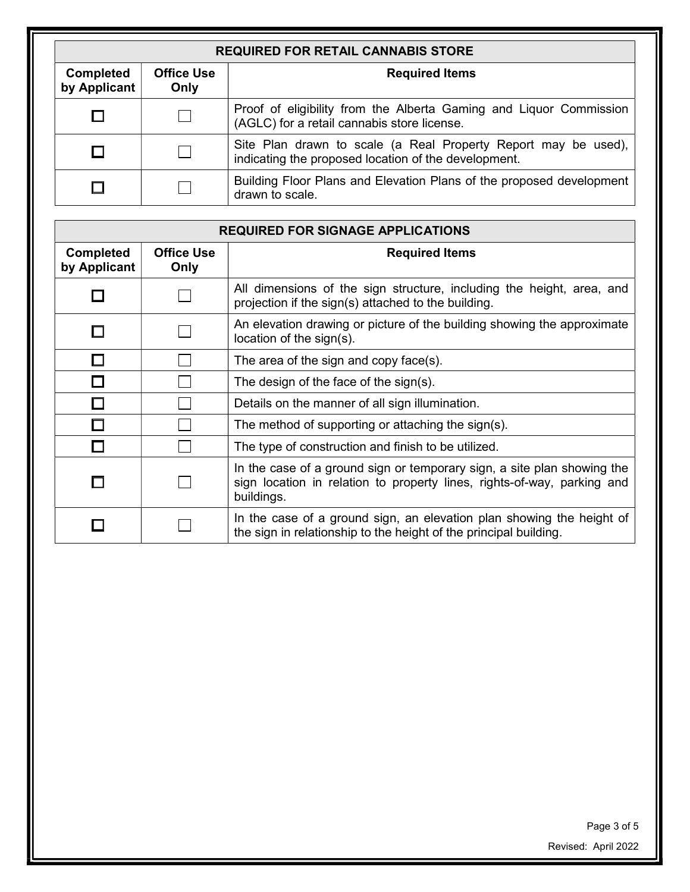| <b>REQUIRED FOR RETAIL CANNABIS STORE</b> |                           |                                                                                                                        |
|-------------------------------------------|---------------------------|------------------------------------------------------------------------------------------------------------------------|
| <b>Completed</b><br>by Applicant          | <b>Office Use</b><br>Only | <b>Required Items</b>                                                                                                  |
|                                           |                           | Proof of eligibility from the Alberta Gaming and Liquor Commission<br>(AGLC) for a retail cannabis store license.      |
|                                           |                           | Site Plan drawn to scale (a Real Property Report may be used),<br>indicating the proposed location of the development. |
|                                           |                           | Building Floor Plans and Elevation Plans of the proposed development<br>drawn to scale.                                |

| <b>REQUIRED FOR SIGNAGE APPLICATIONS</b> |                           |                                                                                                                                                                  |
|------------------------------------------|---------------------------|------------------------------------------------------------------------------------------------------------------------------------------------------------------|
| <b>Completed</b><br>by Applicant         | <b>Office Use</b><br>Only | <b>Required Items</b>                                                                                                                                            |
|                                          |                           | All dimensions of the sign structure, including the height, area, and<br>projection if the sign(s) attached to the building.                                     |
|                                          |                           | An elevation drawing or picture of the building showing the approximate<br>location of the sign(s).                                                              |
|                                          |                           | The area of the sign and copy face(s).                                                                                                                           |
|                                          |                           | The design of the face of the sign(s).                                                                                                                           |
|                                          |                           | Details on the manner of all sign illumination.                                                                                                                  |
|                                          |                           | The method of supporting or attaching the sign(s).                                                                                                               |
|                                          |                           | The type of construction and finish to be utilized.                                                                                                              |
|                                          |                           | In the case of a ground sign or temporary sign, a site plan showing the<br>sign location in relation to property lines, rights-of-way, parking and<br>buildings. |
|                                          |                           | In the case of a ground sign, an elevation plan showing the height of<br>the sign in relationship to the height of the principal building.                       |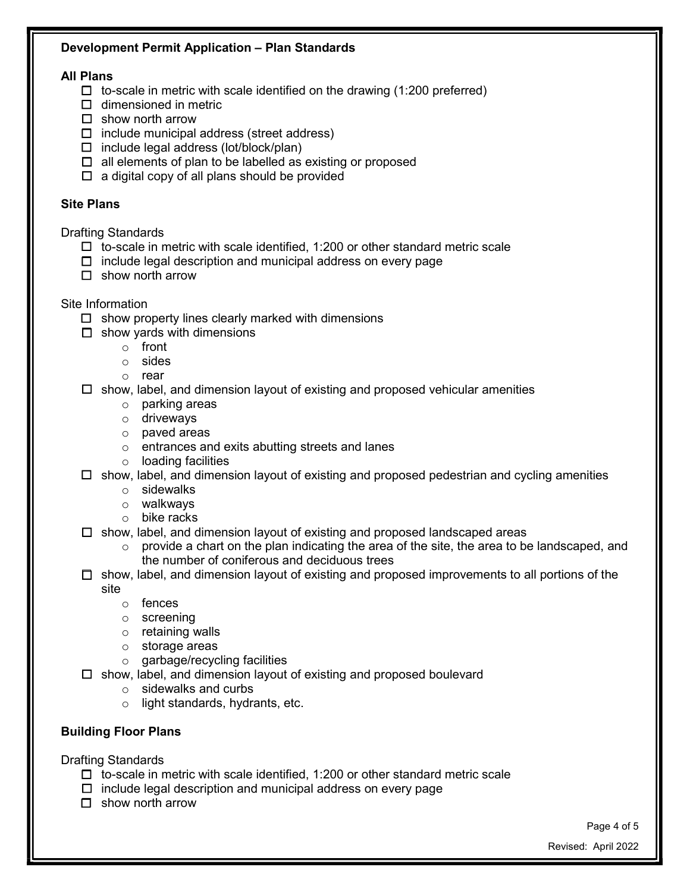## Development Permit Application – Plan Standards

#### All Plans

- $\Box$  to-scale in metric with scale identified on the drawing (1:200 preferred)
- $\Box$  dimensioned in metric
- $\Box$  show north arrow
- $\Box$  include municipal address (street address)
- $\Box$  include legal address (lot/block/plan)
- $\Box$  all elements of plan to be labelled as existing or proposed
- $\Box$  a digital copy of all plans should be provided

## Site Plans

Drafting Standards

- $\Box$  to-scale in metric with scale identified, 1:200 or other standard metric scale
- $\Box$  include legal description and municipal address on every page
- $\Box$  show north arrow

### Site Information

- $\Box$  show property lines clearly marked with dimensions
- $\Box$  show yards with dimensions
	- o front
	- o sides
	- o rear
- $\Box$  show, label, and dimension layout of existing and proposed vehicular amenities
	- o parking areas
	- o driveways
	- o paved areas
	- o entrances and exits abutting streets and lanes
	- o loading facilities

#### $\Box$  show, label, and dimension layout of existing and proposed pedestrian and cycling amenities

- o sidewalks
- o walkways
- o bike racks
- $\Box$  show, label, and dimension layout of existing and proposed landscaped areas
	- $\circ$  provide a chart on the plan indicating the area of the site, the area to be landscaped, and the number of coniferous and deciduous trees
- $\Box$  show, label, and dimension layout of existing and proposed improvements to all portions of the site
	- o fences
	- o screening
	- o retaining walls
	- o storage areas
	- o garbage/recycling facilities
- $\Box$  show, label, and dimension layout of existing and proposed boulevard
	- o sidewalks and curbs
	- o light standards, hydrants, etc.

## Building Floor Plans

Drafting Standards

- $\Box$  to-scale in metric with scale identified, 1:200 or other standard metric scale
- $\Box$  include legal description and municipal address on every page
- $\Box$  show north arrow

Page 4 of 5

Revised: April 2022